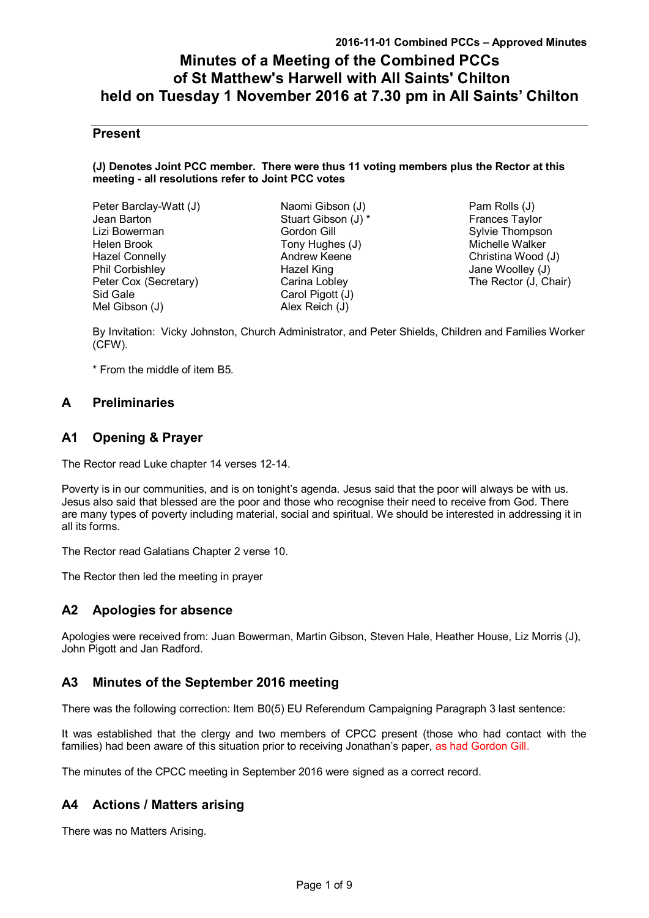# **Minutes of a Meeting of the Combined PCCs of St Matthew's Harwell with All Saints' Chilton held on Tuesday 1 November 2016 at 7.30 pm in All Saints' Chilton**

# **Present**

#### **(J) Denotes Joint PCC member. There were thus 11 voting members plus the Rector at this meeting - all resolutions refer to Joint PCC votes**

| Peter Barclay-Watt (J) |  |
|------------------------|--|
| Jean Barton            |  |
| Lizi Bowerman          |  |
| Helen Brook            |  |
| <b>Hazel Connelly</b>  |  |
| Phil Corbishley        |  |
| Peter Cox (Secretary)  |  |
| Sid Gale               |  |
| Mel Gibson (J)         |  |

Naomi Gibson (J) Stuart Gibson (J) \* Gordon Gill Tony Hughes (J) Andrew Keene Hazel King Carina Lobley Carol Pigott (J) Alex Reich (J)

Pam Rolls (J) Frances Taylor Sylvie Thompson Michelle Walker Christina Wood (J) Jane Woolley (J) The Rector (J, Chair)

By Invitation: Vicky Johnston, Church Administrator, and Peter Shields, Children and Families Worker (CFW).

\* From the middle of item B5.

# **A Preliminaries**

# **A1 Opening & Prayer**

The Rector read Luke chapter 14 verses 12-14.

Poverty is in our communities, and is on tonight's agenda. Jesus said that the poor will always be with us. Jesus also said that blessed are the poor and those who recognise their need to receive from God. There are many types of poverty including material, social and spiritual. We should be interested in addressing it in all its forms.

The Rector read Galatians Chapter 2 verse 10.

The Rector then led the meeting in prayer

# **A2 Apologies for absence**

Apologies were received from: Juan Bowerman, Martin Gibson, Steven Hale, Heather House, Liz Morris (J), John Pigott and Jan Radford.

# **A3 Minutes of the September 2016 meeting**

There was the following correction: Item B0(5) EU Referendum Campaigning Paragraph 3 last sentence:

It was established that the clergy and two members of CPCC present (those who had contact with the families) had been aware of this situation prior to receiving Jonathan's paper, as had Gordon Gill.

The minutes of the CPCC meeting in September 2016 were signed as a correct record.

# **A4 Actions / Matters arising**

There was no Matters Arising.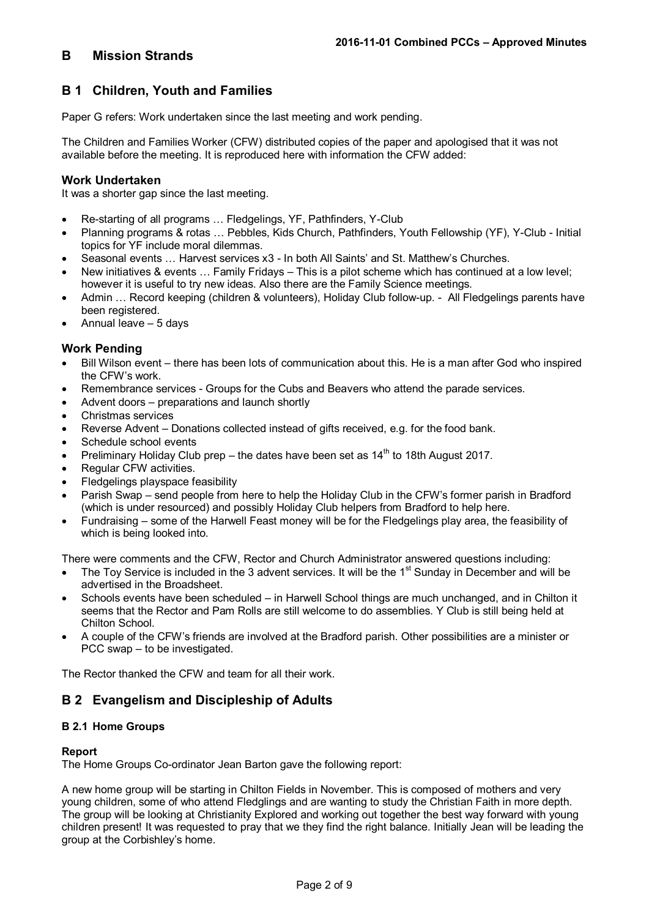# **B Mission Strands**

# **B 1 Children, Youth and Families**

Paper G refers: Work undertaken since the last meeting and work pending.

The Children and Families Worker (CFW) distributed copies of the paper and apologised that it was not available before the meeting. It is reproduced here with information the CFW added:

## **Work Undertaken**

It was a shorter gap since the last meeting.

- Re-starting of all programs … Fledgelings, YF, Pathfinders, Y-Club
- Planning programs & rotas … Pebbles, Kids Church, Pathfinders, Youth Fellowship (YF), Y-Club Initial topics for YF include moral dilemmas.
- Seasonal events … Harvest services x3 In both All Saints' and St. Matthew's Churches.
- New initiatives & events … Family Fridays This is a pilot scheme which has continued at a low level; however it is useful to try new ideas. Also there are the Family Science meetings.
- Admin … Record keeping (children & volunteers), Holiday Club follow-up. All Fledgelings parents have been registered.
- Annual leave 5 days

## **Work Pending**

- Bill Wilson event there has been lots of communication about this. He is a man after God who inspired the CFW's work.
- Remembrance services Groups for the Cubs and Beavers who attend the parade services.
- Advent doors preparations and launch shortly
- Christmas services
- Reverse Advent Donations collected instead of gifts received, e.g. for the food bank.
- Schedule school events
- Preliminary Holiday Club prep the dates have been set as  $14<sup>th</sup>$  to 18th August 2017.
- Regular CFW activities.
- Fledgelings playspace feasibility
- Parish Swap send people from here to help the Holiday Club in the CFW's former parish in Bradford (which is under resourced) and possibly Holiday Club helpers from Bradford to help here.
- Fundraising some of the Harwell Feast money will be for the Fledgelings play area, the feasibility of which is being looked into.

There were comments and the CFW, Rector and Church Administrator answered questions including:

- The Toy Service is included in the 3 advent services. It will be the 1<sup>st</sup> Sunday in December and will be advertised in the Broadsheet.
- Schools events have been scheduled in Harwell School things are much unchanged, and in Chilton it seems that the Rector and Pam Rolls are still welcome to do assemblies. Y Club is still being held at Chilton School.
- A couple of the CFW's friends are involved at the Bradford parish. Other possibilities are a minister or PCC swap – to be investigated.

The Rector thanked the CFW and team for all their work.

# **B 2 Evangelism and Discipleship of Adults**

#### **B 2.1 Home Groups**

#### **Report**

The Home Groups Co-ordinator Jean Barton gave the following report:

A new home group will be starting in Chilton Fields in November. This is composed of mothers and very young children, some of who attend Fledglings and are wanting to study the Christian Faith in more depth. The group will be looking at Christianity Explored and working out together the best way forward with young children present! It was requested to pray that we they find the right balance. Initially Jean will be leading the group at the Corbishley's home.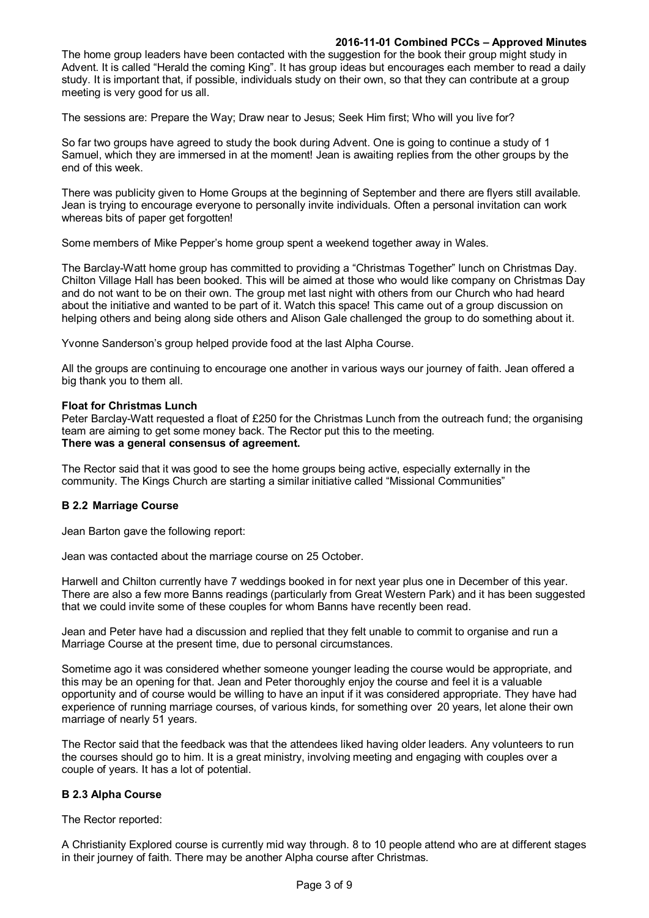## **2016-11-01 Combined PCCs – Approved Minutes**

The home group leaders have been contacted with the suggestion for the book their group might study in Advent. It is called "Herald the coming King". It has group ideas but encourages each member to read a daily study. It is important that, if possible, individuals study on their own, so that they can contribute at a group meeting is very good for us all.

The sessions are: Prepare the Way; Draw near to Jesus; Seek Him first; Who will you live for?

So far two groups have agreed to study the book during Advent. One is going to continue a study of 1 Samuel, which they are immersed in at the moment! Jean is awaiting replies from the other groups by the end of this week.

There was publicity given to Home Groups at the beginning of September and there are flyers still available. Jean is trying to encourage everyone to personally invite individuals. Often a personal invitation can work whereas bits of paper get forgotten!

Some members of Mike Pepper's home group spent a weekend together away in Wales.

The Barclay-Watt home group has committed to providing a "Christmas Together" lunch on Christmas Day. Chilton Village Hall has been booked. This will be aimed at those who would like company on Christmas Day and do not want to be on their own. The group met last night with others from our Church who had heard about the initiative and wanted to be part of it. Watch this space! This came out of a group discussion on helping others and being along side others and Alison Gale challenged the group to do something about it.

Yvonne Sanderson's group helped provide food at the last Alpha Course.

All the groups are continuing to encourage one another in various ways our journey of faith. Jean offered a big thank you to them all.

## **Float for Christmas Lunch**

Peter Barclay-Watt requested a float of £250 for the Christmas Lunch from the outreach fund; the organising team are aiming to get some money back. The Rector put this to the meeting. **There was a general consensus of agreement.**

The Rector said that it was good to see the home groups being active, especially externally in the community. The Kings Church are starting a similar initiative called "Missional Communities"

## **B 2.2 Marriage Course**

Jean Barton gave the following report:

Jean was contacted about the marriage course on 25 October.

Harwell and Chilton currently have 7 weddings booked in for next year plus one in December of this year. There are also a few more Banns readings (particularly from Great Western Park) and it has been suggested that we could invite some of these couples for whom Banns have recently been read.

Jean and Peter have had a discussion and replied that they felt unable to commit to organise and run a Marriage Course at the present time, due to personal circumstances.

Sometime ago it was considered whether someone younger leading the course would be appropriate, and this may be an opening for that. Jean and Peter thoroughly enjoy the course and feel it is a valuable opportunity and of course would be willing to have an input if it was considered appropriate. They have had experience of running marriage courses, of various kinds, for something over 20 years, let alone their own marriage of nearly 51 years.

The Rector said that the feedback was that the attendees liked having older leaders. Any volunteers to run the courses should go to him. It is a great ministry, involving meeting and engaging with couples over a couple of years. It has a lot of potential.

## **B 2.3 Alpha Course**

The Rector reported:

A Christianity Explored course is currently mid way through. 8 to 10 people attend who are at different stages in their journey of faith. There may be another Alpha course after Christmas.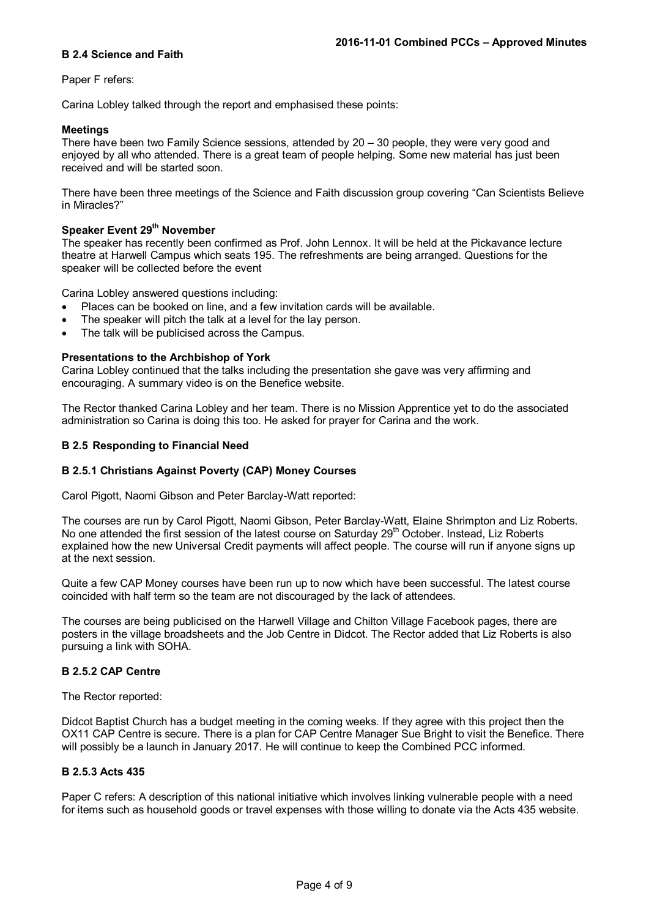#### **B 2.4 Science and Faith**

#### Paper F refers:

Carina Lobley talked through the report and emphasised these points:

#### **Meetings**

There have been two Family Science sessions, attended by 20 – 30 people, they were very good and enjoyed by all who attended. There is a great team of people helping. Some new material has just been received and will be started soon.

There have been three meetings of the Science and Faith discussion group covering "Can Scientists Believe in Miracles?"

## **Speaker Event 29th November**

The speaker has recently been confirmed as Prof. John Lennox. It will be held at the Pickavance lecture theatre at Harwell Campus which seats 195. The refreshments are being arranged. Questions for the speaker will be collected before the event

Carina Lobley answered questions including:

- Places can be booked on line, and a few invitation cards will be available.
- The speaker will pitch the talk at a level for the lay person.
- The talk will be publicised across the Campus.

#### **Presentations to the Archbishop of York**

Carina Lobley continued that the talks including the presentation she gave was very affirming and encouraging. A summary video is on the Benefice website.

The Rector thanked Carina Lobley and her team. There is no Mission Apprentice yet to do the associated administration so Carina is doing this too. He asked for prayer for Carina and the work.

#### **B 2.5 Responding to Financial Need**

## **B 2.5.1 Christians Against Poverty (CAP) Money Courses**

Carol Pigott, Naomi Gibson and Peter Barclay-Watt reported:

The courses are run by Carol Pigott, Naomi Gibson, Peter Barclay-Watt, Elaine Shrimpton and Liz Roberts. No one attended the first session of the latest course on Saturday 29<sup>th</sup> October. Instead, Liz Roberts explained how the new Universal Credit payments will affect people. The course will run if anyone signs up at the next session.

Quite a few CAP Money courses have been run up to now which have been successful. The latest course coincided with half term so the team are not discouraged by the lack of attendees.

The courses are being publicised on the Harwell Village and Chilton Village Facebook pages, there are posters in the village broadsheets and the Job Centre in Didcot. The Rector added that Liz Roberts is also pursuing a link with SOHA.

#### **B 2.5.2 CAP Centre**

The Rector reported:

Didcot Baptist Church has a budget meeting in the coming weeks. If they agree with this project then the OX11 CAP Centre is secure. There is a plan for CAP Centre Manager Sue Bright to visit the Benefice. There will possibly be a launch in January 2017. He will continue to keep the Combined PCC informed.

#### **B 2.5.3 Acts 435**

Paper C refers: A description of this national initiative which involves linking vulnerable people with a need for items such as household goods or travel expenses with those willing to donate via the Acts 435 website.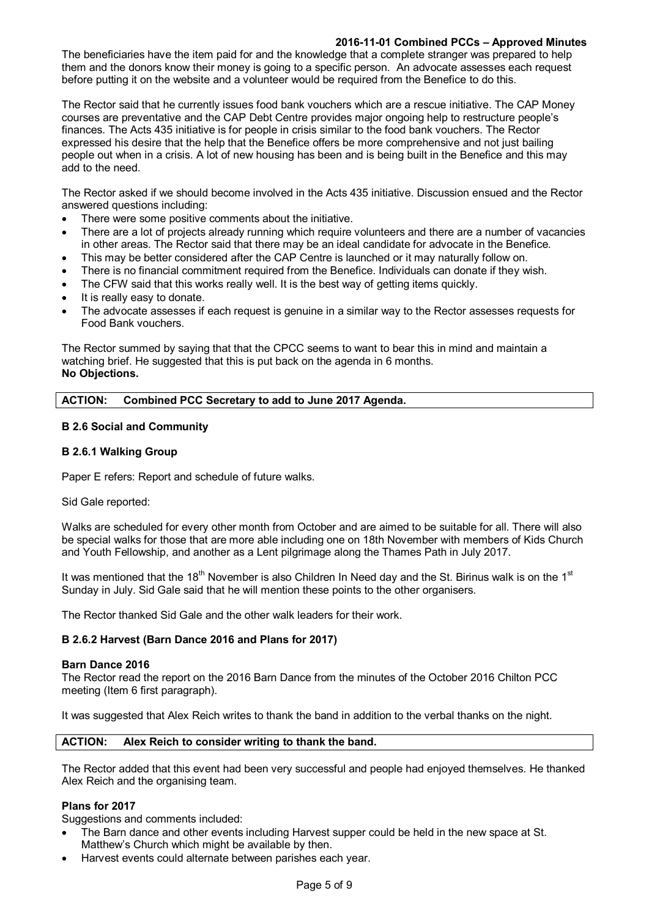## **2016-11-01 Combined PCCs – Approved Minutes**

The beneficiaries have the item paid for and the knowledge that a complete stranger was prepared to help them and the donors know their money is going to a specific person. An advocate assesses each request before putting it on the website and a volunteer would be required from the Benefice to do this.

The Rector said that he currently issues food bank vouchers which are a rescue initiative. The CAP Money courses are preventative and the CAP Debt Centre provides major ongoing help to restructure people's finances. The Acts 435 initiative is for people in crisis similar to the food bank vouchers. The Rector expressed his desire that the help that the Benefice offers be more comprehensive and not just bailing people out when in a crisis. A lot of new housing has been and is being built in the Benefice and this may add to the need.

The Rector asked if we should become involved in the Acts 435 initiative. Discussion ensued and the Rector answered questions including:

- There were some positive comments about the initiative.
- There are a lot of projects already running which require volunteers and there are a number of vacancies in other areas. The Rector said that there may be an ideal candidate for advocate in the Benefice.
- This may be better considered after the CAP Centre is launched or it may naturally follow on.
- There is no financial commitment required from the Benefice. Individuals can donate if they wish.
- The CFW said that this works really well. It is the best way of getting items quickly.
- It is really easy to donate.
- The advocate assesses if each request is genuine in a similar way to the Rector assesses requests for Food Bank vouchers.

The Rector summed by saying that that the CPCC seems to want to bear this in mind and maintain a watching brief. He suggested that this is put back on the agenda in 6 months. **No Objections.**

## **ACTION: Combined PCC Secretary to add to June 2017 Agenda.**

## **B 2.6 Social and Community**

## **B 2.6.1 Walking Group**

Paper E refers: Report and schedule of future walks.

Sid Gale reported:

Walks are scheduled for every other month from October and are aimed to be suitable for all. There will also be special walks for those that are more able including one on 18th November with members of Kids Church and Youth Fellowship, and another as a Lent pilgrimage along the Thames Path in July 2017.

It was mentioned that the 18<sup>th</sup> November is also Children In Need day and the St. Birinus walk is on the 1<sup>st</sup> Sunday in July. Sid Gale said that he will mention these points to the other organisers.

The Rector thanked Sid Gale and the other walk leaders for their work.

## **B 2.6.2 Harvest (Barn Dance 2016 and Plans for 2017)**

## **Barn Dance 2016**

The Rector read the report on the 2016 Barn Dance from the minutes of the October 2016 Chilton PCC meeting (Item 6 first paragraph).

It was suggested that Alex Reich writes to thank the band in addition to the verbal thanks on the night.

## **ACTION: Alex Reich to consider writing to thank the band.**

The Rector added that this event had been very successful and people had enjoyed themselves. He thanked Alex Reich and the organising team.

## **Plans for 2017**

Suggestions and comments included:

- The Barn dance and other events including Harvest supper could be held in the new space at St. Matthew's Church which might be available by then.
- Harvest events could alternate between parishes each year.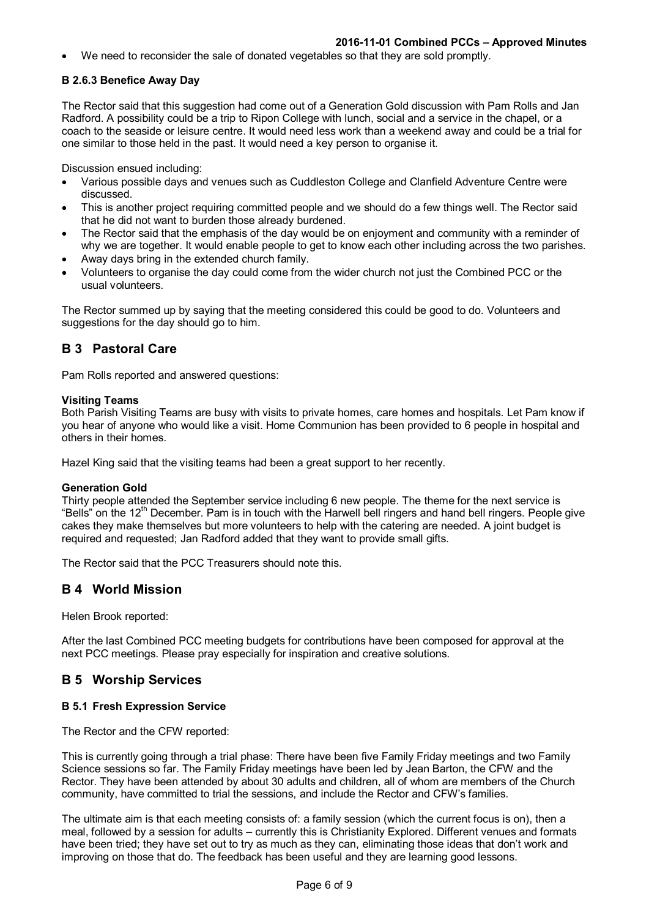We need to reconsider the sale of donated vegetables so that they are sold promptly.

## **B 2.6.3 Benefice Away Day**

The Rector said that this suggestion had come out of a Generation Gold discussion with Pam Rolls and Jan Radford. A possibility could be a trip to Ripon College with lunch, social and a service in the chapel, or a coach to the seaside or leisure centre. It would need less work than a weekend away and could be a trial for one similar to those held in the past. It would need a key person to organise it.

Discussion ensued including:

- Various possible days and venues such as Cuddleston College and Clanfield Adventure Centre were discussed.
- This is another project requiring committed people and we should do a few things well. The Rector said that he did not want to burden those already burdened.
- The Rector said that the emphasis of the day would be on enjoyment and community with a reminder of why we are together. It would enable people to get to know each other including across the two parishes.
- Away days bring in the extended church family.
- Volunteers to organise the day could come from the wider church not just the Combined PCC or the usual volunteers.

The Rector summed up by saying that the meeting considered this could be good to do. Volunteers and suggestions for the day should go to him.

# **B 3 Pastoral Care**

Pam Rolls reported and answered questions:

#### **Visiting Teams**

Both Parish Visiting Teams are busy with visits to private homes, care homes and hospitals. Let Pam know if you hear of anyone who would like a visit. Home Communion has been provided to 6 people in hospital and others in their homes.

Hazel King said that the visiting teams had been a great support to her recently.

#### **Generation Gold**

Thirty people attended the September service including 6 new people. The theme for the next service is "Bells" on the 12<sup>th</sup> December. Pam is in touch with the Harwell bell ringers and hand bell ringers. People give cakes they make themselves but more volunteers to help with the catering are needed. A joint budget is required and requested; Jan Radford added that they want to provide small gifts.

The Rector said that the PCC Treasurers should note this.

# **B 4 World Mission**

Helen Brook reported:

After the last Combined PCC meeting budgets for contributions have been composed for approval at the next PCC meetings. Please pray especially for inspiration and creative solutions.

# **B 5 Worship Services**

## **B 5.1 Fresh Expression Service**

The Rector and the CFW reported:

This is currently going through a trial phase: There have been five Family Friday meetings and two Family Science sessions so far. The Family Friday meetings have been led by Jean Barton, the CFW and the Rector. They have been attended by about 30 adults and children, all of whom are members of the Church community, have committed to trial the sessions, and include the Rector and CFW's families.

The ultimate aim is that each meeting consists of: a family session (which the current focus is on), then a meal, followed by a session for adults – currently this is Christianity Explored. Different venues and formats have been tried; they have set out to try as much as they can, eliminating those ideas that don't work and improving on those that do. The feedback has been useful and they are learning good lessons.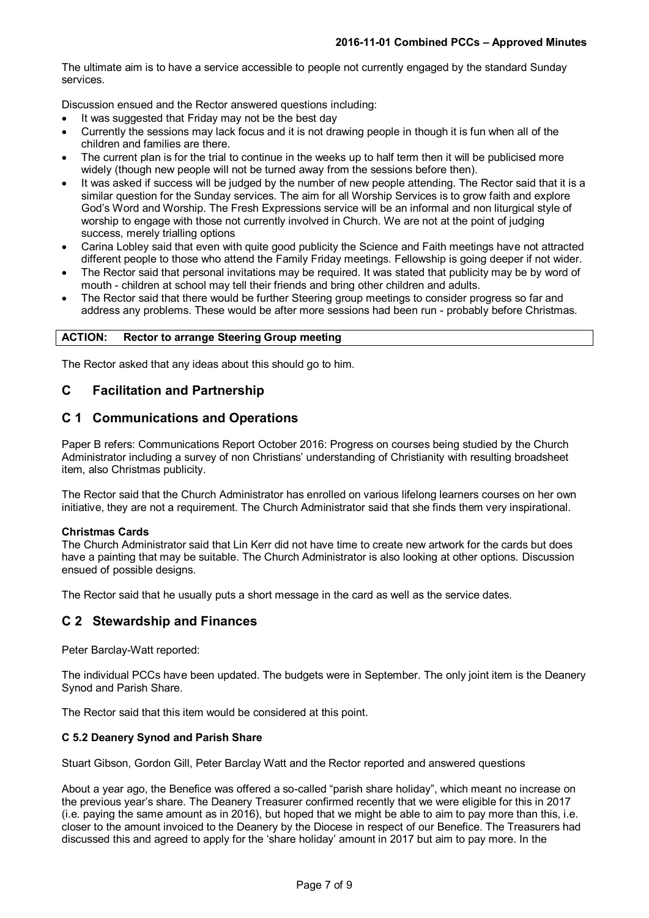The ultimate aim is to have a service accessible to people not currently engaged by the standard Sunday services.

Discussion ensued and the Rector answered questions including:

- It was suggested that Friday may not be the best day
- Currently the sessions may lack focus and it is not drawing people in though it is fun when all of the children and families are there.
- The current plan is for the trial to continue in the weeks up to half term then it will be publicised more widely (though new people will not be turned away from the sessions before then).
- It was asked if success will be judged by the number of new people attending. The Rector said that it is a similar question for the Sunday services. The aim for all Worship Services is to grow faith and explore God's Word and Worship. The Fresh Expressions service will be an informal and non liturgical style of worship to engage with those not currently involved in Church. We are not at the point of judging success, merely trialling options
- Carina Lobley said that even with quite good publicity the Science and Faith meetings have not attracted different people to those who attend the Family Friday meetings. Fellowship is going deeper if not wider.
- The Rector said that personal invitations may be required. It was stated that publicity may be by word of mouth - children at school may tell their friends and bring other children and adults.
- The Rector said that there would be further Steering group meetings to consider progress so far and address any problems. These would be after more sessions had been run - probably before Christmas.

#### **ACTION: Rector to arrange Steering Group meeting**

The Rector asked that any ideas about this should go to him.

# **C Facilitation and Partnership**

# **C 1 Communications and Operations**

Paper B refers: Communications Report October 2016: Progress on courses being studied by the Church Administrator including a survey of non Christians' understanding of Christianity with resulting broadsheet item, also Christmas publicity.

The Rector said that the Church Administrator has enrolled on various lifelong learners courses on her own initiative, they are not a requirement. The Church Administrator said that she finds them very inspirational.

## **Christmas Cards**

The Church Administrator said that Lin Kerr did not have time to create new artwork for the cards but does have a painting that may be suitable. The Church Administrator is also looking at other options. Discussion ensued of possible designs.

The Rector said that he usually puts a short message in the card as well as the service dates.

# **C 2 Stewardship and Finances**

Peter Barclay-Watt reported:

The individual PCCs have been updated. The budgets were in September. The only joint item is the Deanery Synod and Parish Share.

The Rector said that this item would be considered at this point.

## **C 5.2 Deanery Synod and Parish Share**

Stuart Gibson, Gordon Gill, Peter Barclay Watt and the Rector reported and answered questions

About a year ago, the Benefice was offered a so-called "parish share holiday", which meant no increase on the previous year's share. The Deanery Treasurer confirmed recently that we were eligible for this in 2017 (i.e. paying the same amount as in 2016), but hoped that we might be able to aim to pay more than this, i.e. closer to the amount invoiced to the Deanery by the Diocese in respect of our Benefice. The Treasurers had discussed this and agreed to apply for the 'share holiday' amount in 2017 but aim to pay more. In the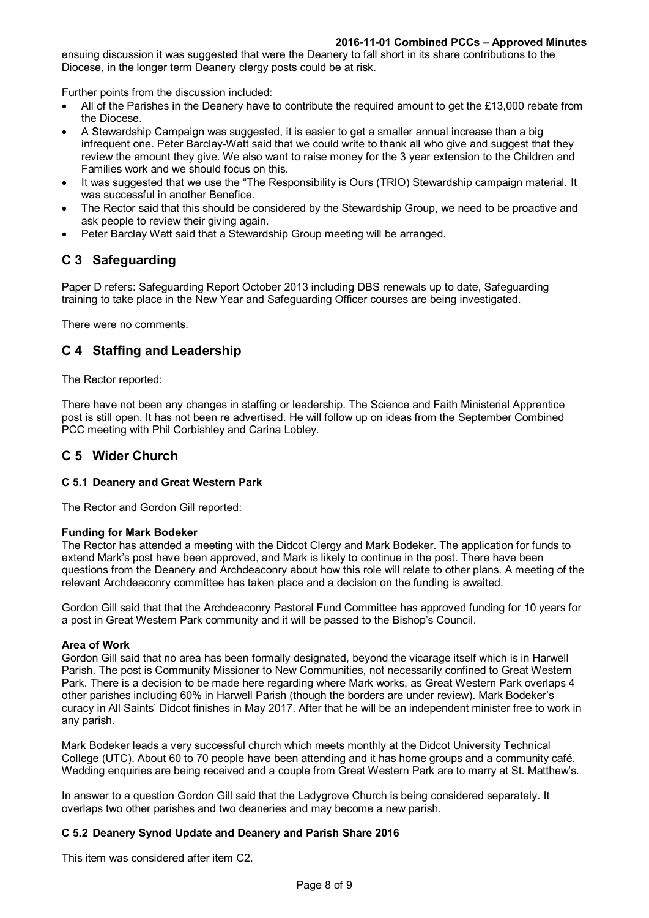#### **2016-11-01 Combined PCCs – Approved Minutes**

ensuing discussion it was suggested that were the Deanery to fall short in its share contributions to the Diocese, in the longer term Deanery clergy posts could be at risk.

Further points from the discussion included:

- All of the Parishes in the Deanery have to contribute the required amount to get the £13,000 rebate from the Diocese.
- A Stewardship Campaign was suggested, it is easier to get a smaller annual increase than a big infrequent one. Peter Barclay-Watt said that we could write to thank all who give and suggest that they review the amount they give. We also want to raise money for the 3 year extension to the Children and Families work and we should focus on this.
- It was suggested that we use the "The Responsibility is Ours (TRIO) Stewardship campaign material. It was successful in another Benefice.
- The Rector said that this should be considered by the Stewardship Group, we need to be proactive and ask people to review their giving again.
- Peter Barclay Watt said that a Stewardship Group meeting will be arranged.

# **C 3 Safeguarding**

Paper D refers: Safeguarding Report October 2013 including DBS renewals up to date, Safeguarding training to take place in the New Year and Safeguarding Officer courses are being investigated.

There were no comments.

# **C 4 Staffing and Leadership**

The Rector reported:

There have not been any changes in staffing or leadership. The Science and Faith Ministerial Apprentice post is still open. It has not been re advertised. He will follow up on ideas from the September Combined PCC meeting with Phil Corbishley and Carina Lobley.

## **C 5 Wider Church**

## **C 5.1 Deanery and Great Western Park**

The Rector and Gordon Gill reported:

#### **Funding for Mark Bodeker**

The Rector has attended a meeting with the Didcot Clergy and Mark Bodeker. The application for funds to extend Mark's post have been approved, and Mark is likely to continue in the post. There have been questions from the Deanery and Archdeaconry about how this role will relate to other plans. A meeting of the relevant Archdeaconry committee has taken place and a decision on the funding is awaited.

Gordon Gill said that that the Archdeaconry Pastoral Fund Committee has approved funding for 10 years for a post in Great Western Park community and it will be passed to the Bishop's Council.

#### **Area of Work**

Gordon Gill said that no area has been formally designated, beyond the vicarage itself which is in Harwell Parish. The post is Community Missioner to New Communities, not necessarily confined to Great Western Park. There is a decision to be made here regarding where Mark works, as Great Western Park overlaps 4 other parishes including 60% in Harwell Parish (though the borders are under review). Mark Bodeker's curacy in All Saints' Didcot finishes in May 2017. After that he will be an independent minister free to work in any parish.

Mark Bodeker leads a very successful church which meets monthly at the Didcot University Technical College (UTC). About 60 to 70 people have been attending and it has home groups and a community café. Wedding enquiries are being received and a couple from Great Western Park are to marry at St. Matthew's.

In answer to a question Gordon Gill said that the Ladygrove Church is being considered separately. It overlaps two other parishes and two deaneries and may become a new parish.

## **C 5.2 Deanery Synod Update and Deanery and Parish Share 2016**

This item was considered after item C2.